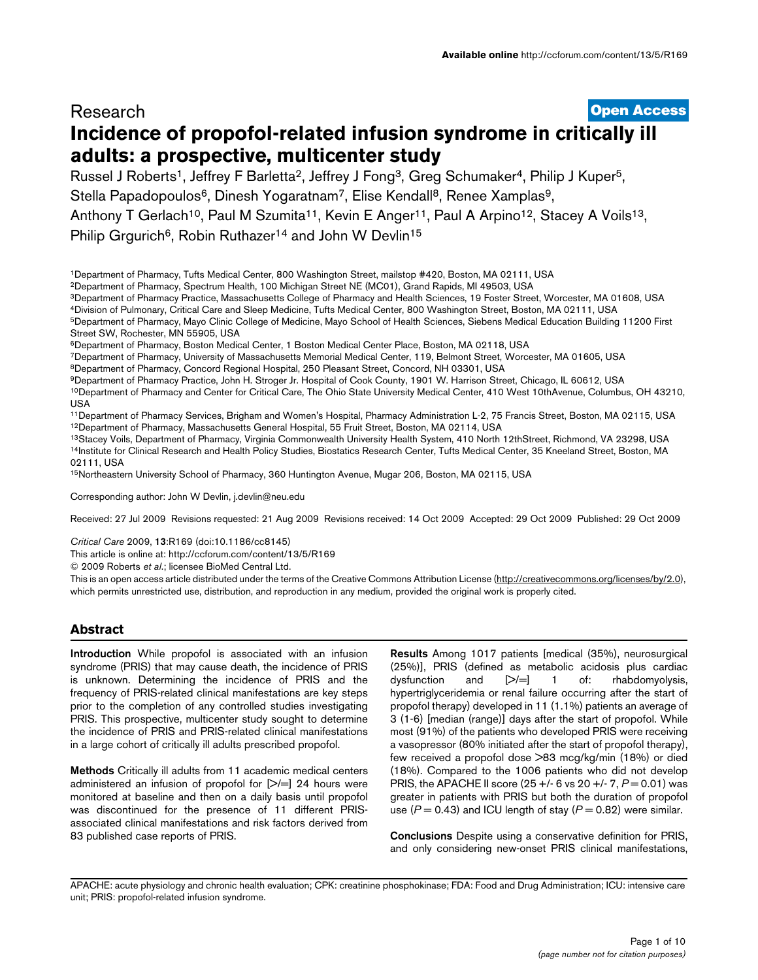# **[Open Access](http://www.biomedcentral.com/info/about/charter/)** Research **Incidence of propofol-related infusion syndrome in critically ill adults: a prospective, multicenter study**

Russel J Roberts<sup>1</sup>, Jeffrey F Barletta<sup>2</sup>, Jeffrey J Fong<sup>3</sup>, Greg Schumaker<sup>4</sup>, Philip J Kuper<sup>5</sup>, Stella Papadopoulos<sup>6</sup>, Dinesh Yogaratnam<sup>7</sup>, Elise Kendall<sup>8</sup>, Renee Xamplas<sup>9</sup>, Anthony T Gerlach<sup>10</sup>, Paul M Szumita<sup>11</sup>, Kevin E Anger<sup>11</sup>, Paul A Arpino<sup>12</sup>, Stacey A Voils<sup>13</sup>, Philip Grgurich<sup>6</sup>, Robin Ruthazer<sup>14</sup> and John W Devlin<sup>15</sup>

1Department of Pharmacy, Tufts Medical Center, 800 Washington Street, mailstop #420, Boston, MA 02111, USA

2Department of Pharmacy, Spectrum Health, 100 Michigan Street NE (MC01), Grand Rapids, MI 49503, USA

3Department of Pharmacy Practice, Massachusetts College of Pharmacy and Health Sciences, 19 Foster Street, Worcester, MA 01608, USA

4Division of Pulmonary, Critical Care and Sleep Medicine, Tufts Medical Center, 800 Washington Street, Boston, MA 02111, USA

5Department of Pharmacy, Mayo Clinic College of Medicine, Mayo School of Health Sciences, Siebens Medical Education Building 11200 First Street SW, Rochester, MN 55905, USA

6Department of Pharmacy, Boston Medical Center, 1 Boston Medical Center Place, Boston, MA 02118, USA

7Department of Pharmacy, University of Massachusetts Memorial Medical Center, 119, Belmont Street, Worcester, MA 01605, USA 8Department of Pharmacy, Concord Regional Hospital, 250 Pleasant Street, Concord, NH 03301, USA

9Department of Pharmacy Practice, John H. Stroger Jr. Hospital of Cook County, 1901 W. Harrison Street, Chicago, IL 60612, USA

10Department of Pharmacy and Center for Critical Care, The Ohio State University Medical Center, 410 West 10thAvenue, Columbus, OH 43210, USA

11Department of Pharmacy Services, Brigham and Women's Hospital, Pharmacy Administration L-2, 75 Francis Street, Boston, MA 02115, USA 12Department of Pharmacy, Massachusetts General Hospital, 55 Fruit Street, Boston, MA 02114, USA

13Stacey Voils, Department of Pharmacy, Virginia Commonwealth University Health System, 410 North 12thStreet, Richmond, VA 23298, USA 14Institute for Clinical Research and Health Policy Studies, Biostatics Research Center, Tufts Medical Center, 35 Kneeland Street, Boston, MA 02111, USA

15Northeastern University School of Pharmacy, 360 Huntington Avenue, Mugar 206, Boston, MA 02115, USA

Corresponding author: John W Devlin, j.devlin@neu.ed[u](http://www.ncbi.nlm.nih.gov/entrez/query.fcgi?cmd=Retrieve&db=PubMed&dopt=Abstract&list_uids=19874582)

Received: 27 Jul 2009 Revisions requested: 21 Aug 2009 Revisions received: 14 Oct 2009 Accepted: 29 Oct 2009 Published: 29 Oct 2009

*Critical Care* 2009, **13**:R169 (doi:10.1186/cc8145)

[This article is online at: http://ccforum.com/content/13/5/R169](http://ccforum.com/content/13/5/R169)

© 2009 Roberts *et al*.; licensee BioMed Central Ltd.

This is an open access article distributed under the terms of the Creative Commons Attribution License [\(http://creativecommons.org/licenses/by/2.0\)](http://creativecommons.org/licenses/by/2.0), which permits unrestricted use, distribution, and reproduction in any medium, provided the original work is properly cited.

## **Abstract**

**Introduction** While propofol is associated with an infusion syndrome (PRIS) that may cause death, the incidence of PRIS is unknown. Determining the incidence of PRIS and the frequency of PRIS-related clinical manifestations are key steps prior to the completion of any controlled studies investigating PRIS. This prospective, multicenter study sought to determine the incidence of PRIS and PRIS-related clinical manifestations in a large cohort of critically ill adults prescribed propofol.

**Methods** Critically ill adults from 11 academic medical centers administered an infusion of propofol for  $[>]=] 24$  hours were monitored at baseline and then on a daily basis until propofol was discontinued for the presence of 11 different PRISassociated clinical manifestations and risk factors derived from 83 published case reports of PRIS.

**Results** Among 1017 patients [medical (35%), neurosurgical (25%)], PRIS (defined as metabolic acidosis plus cardiac dysfunction and [>/=] 1 of: rhabdomyolysis, hypertriglyceridemia or renal failure occurring after the start of propofol therapy) developed in 11 (1.1%) patients an average of 3 (1-6) [median (range)] days after the start of propofol. While most (91%) of the patients who developed PRIS were receiving a vasopressor (80% initiated after the start of propofol therapy), few received a propofol dose >83 mcg/kg/min (18%) or died (18%). Compared to the 1006 patients who did not develop PRIS, the APACHE II score (25 +/- 6 vs 20 +/- 7,  $P = 0.01$ ) was greater in patients with PRIS but both the duration of propofol use  $(P = 0.43)$  and ICU length of stay  $(P = 0.82)$  were similar.

**Conclusions** Despite using a conservative definition for PRIS, and only considering new-onset PRIS clinical manifestations,

APACHE: acute physiology and chronic health evaluation; CPK: creatinine phosphokinase; FDA: Food and Drug Administration; ICU: intensive care unit; PRIS: propofol-related infusion syndrome.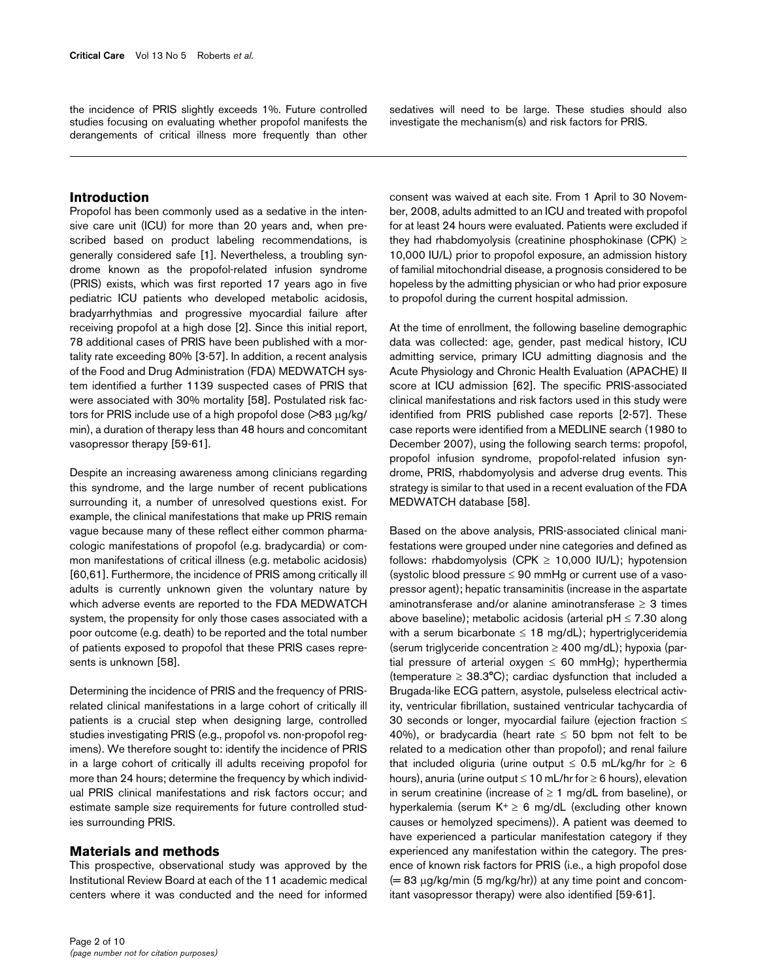the incidence of PRIS slightly exceeds 1%. Future controlled studies focusing on evaluating whether propofol manifests the derangements of critical illness more frequently than other

## **Introduction**

Propofol has been commonly used as a sedative in the intensive care unit (ICU) for more than 20 years and, when prescribed based on product labeling recommendations, is generally considered safe [1]. Nevertheless, a troubling syndrome known as the propofol-related infusion syndrome (PRIS) exists, which was first reported 17 years ago in five pediatric ICU patients who developed metabolic acidosis, bradyarrhythmias and progressive myocardial failure after receiving propofol at a high dose [2]. Since this initial report, 78 additional cases of PRIS have been published with a mortality rate exceeding 80% [3-57]. In addition, a recent analysis of the Food and Drug Administration (FDA) MEDWATCH system identified a further 1139 suspected cases of PRIS that were associated with 30% mortality [58]. Postulated risk factors for PRIS include use of a high propofol dose (>83 μg/kg/ min), a duration of therapy less than 48 hours and concomitant vasopressor therapy [59-61].

Despite an increasing awareness among clinicians regarding this syndrome, and the large number of recent publications surrounding it, a number of unresolved questions exist. For example, the clinical manifestations that make up PRIS remain vague because many of these reflect either common pharmacologic manifestations of propofol (e.g. bradycardia) or common manifestations of critical illness (e.g. metabolic acidosis) [60,61]. Furthermore, the incidence of PRIS among critically ill adults is currently unknown given the voluntary nature by which adverse events are reported to the FDA MEDWATCH system, the propensity for only those cases associated with a poor outcome (e.g. death) to be reported and the total number of patients exposed to propofol that these PRIS cases represents is unknown [58].

Determining the incidence of PRIS and the frequency of PRISrelated clinical manifestations in a large cohort of critically ill patients is a crucial step when designing large, controlled studies investigating PRIS (e.g., propofol vs. non-propofol regimens). We therefore sought to: identify the incidence of PRIS in a large cohort of critically ill adults receiving propofol for more than 24 hours; determine the frequency by which individual PRIS clinical manifestations and risk factors occur; and estimate sample size requirements for future controlled studies surrounding PRIS.

#### **Materials and methods**

This prospective, observational study was approved by the Institutional Review Board at each of the 11 academic medical centers where it was conducted and the need for informed sedatives will need to be large. These studies should also investigate the mechanism(s) and risk factors for PRIS.

consent was waived at each site. From 1 April to 30 November, 2008, adults admitted to an ICU and treated with propofol for at least 24 hours were evaluated. Patients were excluded if they had rhabdomyolysis (creatinine phosphokinase (CPK)  $\geq$ 10,000 IU/L) prior to propofol exposure, an admission history of familial mitochondrial disease, a prognosis considered to be hopeless by the admitting physician or who had prior exposure to propofol during the current hospital admission.

At the time of enrollment, the following baseline demographic data was collected: age, gender, past medical history, ICU admitting service, primary ICU admitting diagnosis and the Acute Physiology and Chronic Health Evaluation (APACHE) II score at ICU admission [62]. The specific PRIS-associated clinical manifestations and risk factors used in this study were identified from PRIS published case reports [2-57]. These case reports were identified from a MEDLINE search (1980 to December 2007), using the following search terms: propofol, propofol infusion syndrome, propofol-related infusion syndrome, PRIS, rhabdomyolysis and adverse drug events. This strategy is similar to that used in a recent evaluation of the FDA MEDWATCH database [58].

Based on the above analysis, PRIS-associated clinical manifestations were grouped under nine categories and defined as follows: rhabdomyolysis (CPK  $\geq$  10,000 IU/L); hypotension (systolic blood pressure ≤ 90 mmHg or current use of a vasopressor agent); hepatic transaminitis (increase in the aspartate aminotransferase and/or alanine aminotransferase  $\geq 3$  times above baseline); metabolic acidosis (arterial  $pH \leq 7.30$  along with a serum bicarbonate  $\leq 18$  mg/dL); hypertriglyceridemia (serum triglyceride concentration  $\geq 400$  mg/dL); hypoxia (partial pressure of arterial oxygen  $\leq 60$  mmHg); hyperthermia (temperature  $\geq 38.3^{\circ}C$ ); cardiac dysfunction that included a Brugada-like ECG pattern, asystole, pulseless electrical activity, ventricular fibrillation, sustained ventricular tachycardia of 30 seconds or longer, myocardial failure (ejection fraction ≤ 40%), or bradycardia (heart rate  $\leq$  50 bpm not felt to be related to a medication other than propofol); and renal failure that included oliguria (urine output  $\leq$  0.5 mL/kg/hr for  $\geq$  6 hours), anuria (urine output ≤ 10 mL/hr for ≥ 6 hours), elevation in serum creatinine (increase of  $\geq 1$  mg/dL from baseline), or hyperkalemia (serum  $K^+ \geq 6$  mg/dL (excluding other known causes or hemolyzed specimens)). A patient was deemed to have experienced a particular manifestation category if they experienced any manifestation within the category. The presence of known risk factors for PRIS (i.e., a high propofol dose  $(= 83 \mu g/kg/min (5 mg/kg/hr))$  at any time point and concomitant vasopressor therapy) were also identified [59-61].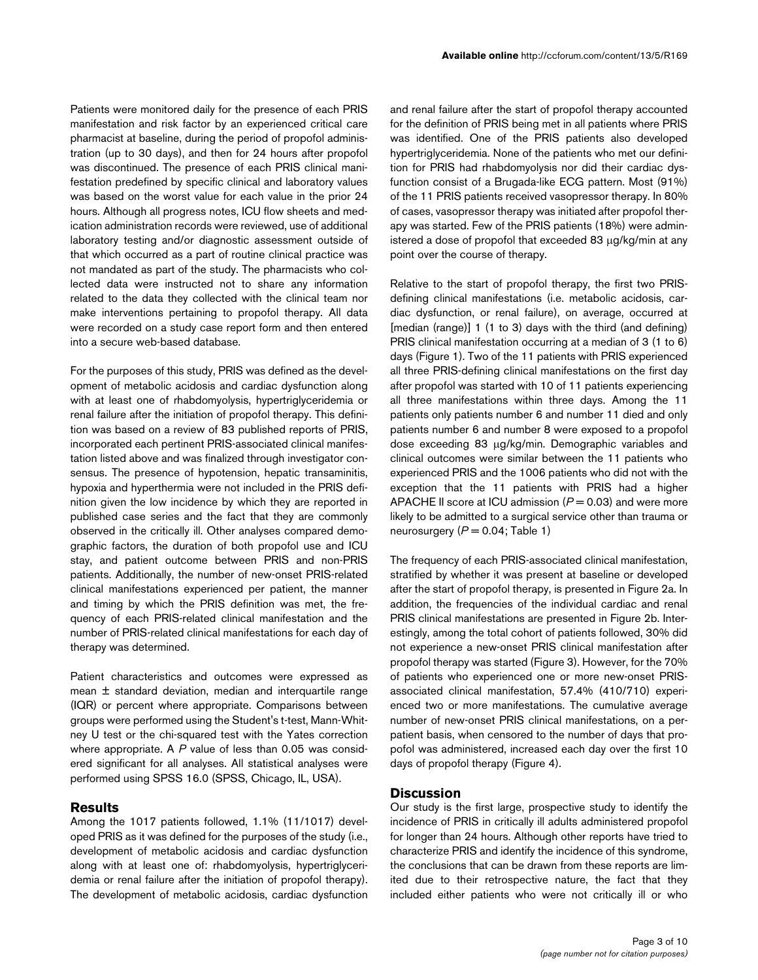Patients were monitored daily for the presence of each PRIS manifestation and risk factor by an experienced critical care pharmacist at baseline, during the period of propofol administration (up to 30 days), and then for 24 hours after propofol was discontinued. The presence of each PRIS clinical manifestation predefined by specific clinical and laboratory values was based on the worst value for each value in the prior 24 hours. Although all progress notes, ICU flow sheets and medication administration records were reviewed, use of additional laboratory testing and/or diagnostic assessment outside of that which occurred as a part of routine clinical practice was not mandated as part of the study. The pharmacists who collected data were instructed not to share any information related to the data they collected with the clinical team nor make interventions pertaining to propofol therapy. All data were recorded on a study case report form and then entered into a secure web-based database.

For the purposes of this study, PRIS was defined as the development of metabolic acidosis and cardiac dysfunction along with at least one of rhabdomyolysis, hypertriglyceridemia or renal failure after the initiation of propofol therapy. This definition was based on a review of 83 published reports of PRIS, incorporated each pertinent PRIS-associated clinical manifestation listed above and was finalized through investigator consensus. The presence of hypotension, hepatic transaminitis, hypoxia and hyperthermia were not included in the PRIS definition given the low incidence by which they are reported in published case series and the fact that they are commonly observed in the critically ill. Other analyses compared demographic factors, the duration of both propofol use and ICU stay, and patient outcome between PRIS and non-PRIS patients. Additionally, the number of new-onset PRIS-related clinical manifestations experienced per patient, the manner and timing by which the PRIS definition was met, the frequency of each PRIS-related clinical manifestation and the number of PRIS-related clinical manifestations for each day of therapy was determined.

Patient characteristics and outcomes were expressed as mean  $\pm$  standard deviation, median and interquartile range (IQR) or percent where appropriate. Comparisons between groups were performed using the Student's t-test, Mann-Whitney U test or the chi-squared test with the Yates correction where appropriate. A *P* value of less than 0.05 was considered significant for all analyses. All statistical analyses were performed using SPSS 16.0 (SPSS, Chicago, IL, USA).

#### **Results**

Among the 1017 patients followed, 1.1% (11/1017) developed PRIS as it was defined for the purposes of the study (i.e., development of metabolic acidosis and cardiac dysfunction along with at least one of: rhabdomyolysis, hypertriglyceridemia or renal failure after the initiation of propofol therapy). The development of metabolic acidosis, cardiac dysfunction

and renal failure after the start of propofol therapy accounted for the definition of PRIS being met in all patients where PRIS was identified. One of the PRIS patients also developed hypertriglyceridemia. None of the patients who met our definition for PRIS had rhabdomyolysis nor did their cardiac dysfunction consist of a Brugada-like ECG pattern. Most (91%) of the 11 PRIS patients received vasopressor therapy. In 80% of cases, vasopressor therapy was initiated after propofol therapy was started. Few of the PRIS patients (18%) were administered a dose of propofol that exceeded 83 μg/kg/min at any point over the course of therapy.

Relative to the start of propofol therapy, the first two PRISdefining clinical manifestations (i.e. metabolic acidosis, cardiac dysfunction, or renal failure), on average, occurred at [median (range)] 1 (1 to 3) days with the third (and defining) PRIS clinical manifestation occurring at a median of 3 (1 to 6) days (Figure 1). Two of the 11 patients with PRIS experienced all three PRIS-defining clinical manifestations on the first day after propofol was started with 10 of 11 patients experiencing all three manifestations within three days. Among the 11 patients only patients number 6 and number 11 died and only patients number 6 and number 8 were exposed to a propofol dose exceeding 83 μg/kg/min. Demographic variables and clinical outcomes were similar between the 11 patients who experienced PRIS and the 1006 patients who did not with the exception that the 11 patients with PRIS had a higher APACHE II score at ICU admission ( $P = 0.03$ ) and were more likely to be admitted to a surgical service other than trauma or neurosurgery  $(P = 0.04;$  Table 1)

The frequency of each PRIS-associated clinical manifestation, stratified by whether it was present at baseline or developed after the start of propofol therapy, is presented in Figure 2a. In addition, the frequencies of the individual cardiac and renal PRIS clinical manifestations are presented in Figure 2b. Interestingly, among the total cohort of patients followed, 30% did not experience a new-onset PRIS clinical manifestation after propofol therapy was started (Figure 3). However, for the 70% of patients who experienced one or more new-onset PRISassociated clinical manifestation, 57.4% (410/710) experienced two or more manifestations. The cumulative average number of new-onset PRIS clinical manifestations, on a perpatient basis, when censored to the number of days that propofol was administered, increased each day over the first 10 days of propofol therapy (Figure 4).

### **Discussion**

Our study is the first large, prospective study to identify the incidence of PRIS in critically ill adults administered propofol for longer than 24 hours. Although other reports have tried to characterize PRIS and identify the incidence of this syndrome, the conclusions that can be drawn from these reports are limited due to their retrospective nature, the fact that they included either patients who were not critically ill or who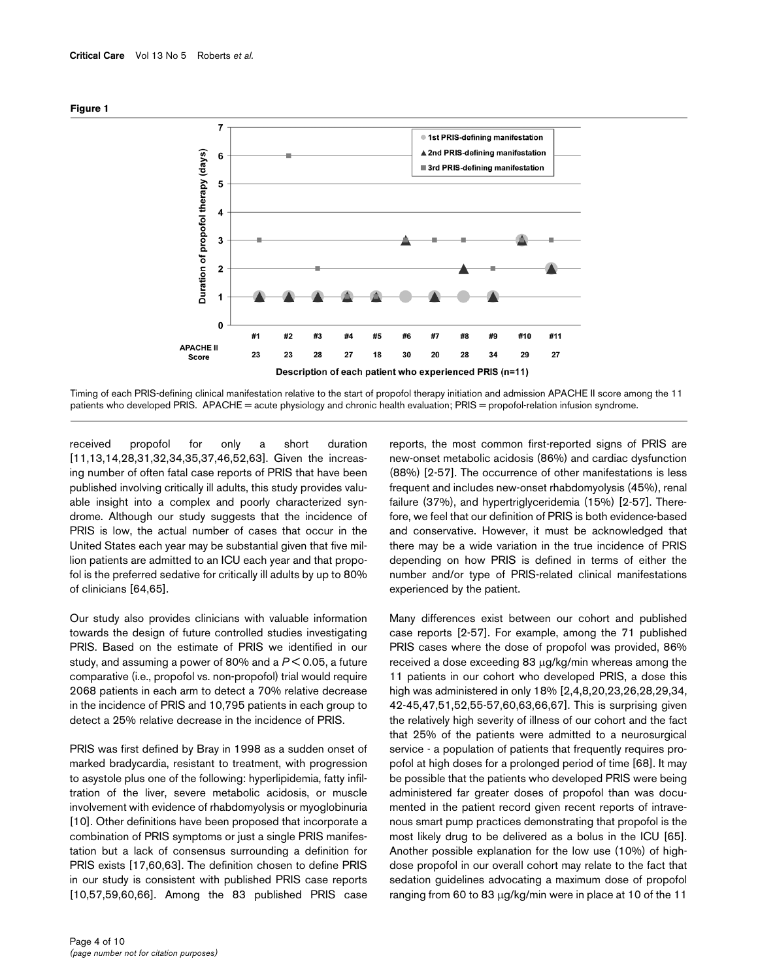

Timing of each PRIS-defining clinical manifestation relative to the start of propofol therapy initiation and admission APACHE II score among the 11 patients who developed PRIS. APACHE = acute physiology and chronic health evaluation; PRIS = propofol-relation infusion syndrome.

received propofol for only a short duration [11,13,14,28,31,32,34,35,37,46,52,63]. Given the increasing number of often fatal case reports of PRIS that have been published involving critically ill adults, this study provides valuable insight into a complex and poorly characterized syndrome. Although our study suggests that the incidence of PRIS is low, the actual number of cases that occur in the United States each year may be substantial given that five million patients are admitted to an ICU each year and that propofol is the preferred sedative for critically ill adults by up to 80% of clinicians [64,65].

Our study also provides clinicians with valuable information towards the design of future controlled studies investigating PRIS. Based on the estimate of PRIS we identified in our study, and assuming a power of 80% and a *P* < 0.05, a future comparative (i.e., propofol vs. non-propofol) trial would require 2068 patients in each arm to detect a 70% relative decrease in the incidence of PRIS and 10,795 patients in each group to detect a 25% relative decrease in the incidence of PRIS.

PRIS was first defined by Bray in 1998 as a sudden onset of marked bradycardia, resistant to treatment, with progression to asystole plus one of the following: hyperlipidemia, fatty infiltration of the liver, severe metabolic acidosis, or muscle involvement with evidence of rhabdomyolysis or myoglobinuria [10]. Other definitions have been proposed that incorporate a combination of PRIS symptoms or just a single PRIS manifestation but a lack of consensus surrounding a definition for PRIS exists [17,60,63]. The definition chosen to define PRIS in our study is consistent with published PRIS case reports [10,57,59,60,66]. Among the 83 published PRIS case reports, the most common first-reported signs of PRIS are new-onset metabolic acidosis (86%) and cardiac dysfunction (88%) [2-57]. The occurrence of other manifestations is less frequent and includes new-onset rhabdomyolysis (45%), renal failure (37%), and hypertriglyceridemia (15%) [2-57]. Therefore, we feel that our definition of PRIS is both evidence-based and conservative. However, it must be acknowledged that there may be a wide variation in the true incidence of PRIS depending on how PRIS is defined in terms of either the number and/or type of PRIS-related clinical manifestations experienced by the patient.

Many differences exist between our cohort and published case reports [2-57]. For example, among the 71 published PRIS cases where the dose of propofol was provided, 86% received a dose exceeding 83 μg/kg/min whereas among the 11 patients in our cohort who developed PRIS, a dose this high was administered in only 18% [2,4,8,20,23,26,28,29,34, 42-45,47,51,52,55-57,60,63,66,67]. This is surprising given the relatively high severity of illness of our cohort and the fact that 25% of the patients were admitted to a neurosurgical service - a population of patients that frequently requires propofol at high doses for a prolonged period of time [68]. It may be possible that the patients who developed PRIS were being administered far greater doses of propofol than was documented in the patient record given recent reports of intravenous smart pump practices demonstrating that propofol is the most likely drug to be delivered as a bolus in the ICU [65]. Another possible explanation for the low use (10%) of highdose propofol in our overall cohort may relate to the fact that sedation guidelines advocating a maximum dose of propofol ranging from 60 to 83 μg/kg/min were in place at 10 of the 11

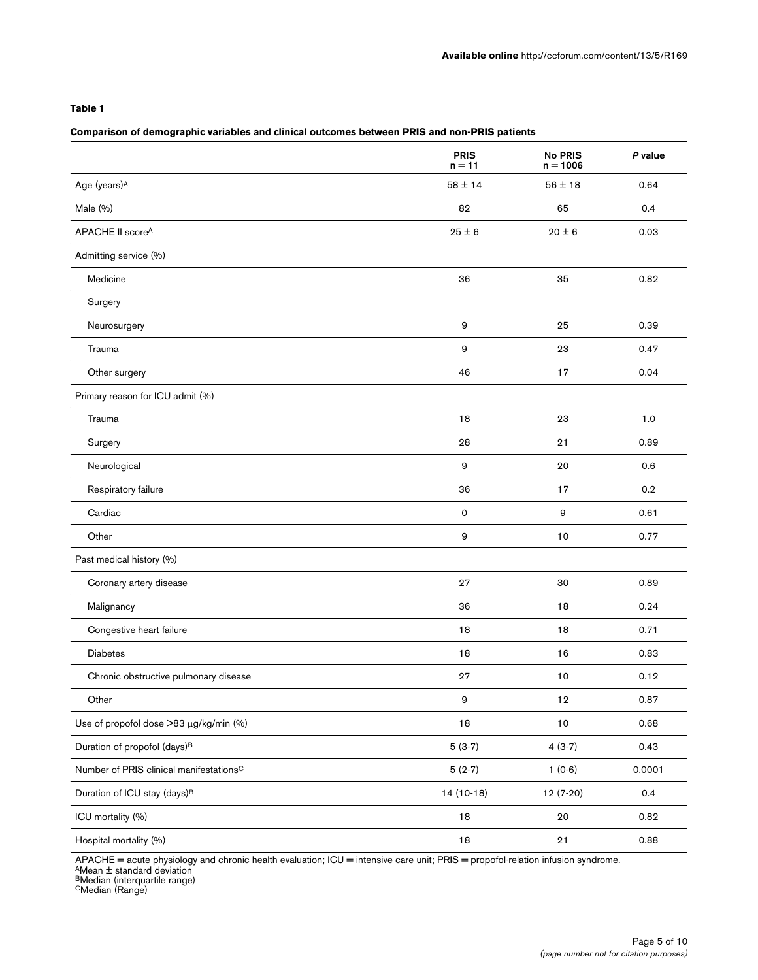### **Table 1**

| Comparison of demographic variables and clinical outcomes between PRIS and non-PRIS patients |                         |                              |         |
|----------------------------------------------------------------------------------------------|-------------------------|------------------------------|---------|
|                                                                                              | <b>PRIS</b><br>$n = 11$ | <b>No PRIS</b><br>$n = 1006$ | P value |
| Age (years) <sup>A</sup>                                                                     | $58 \pm 14$             | $56 \pm 18$                  | 0.64    |
| Male (%)                                                                                     | 82                      | 65                           | 0.4     |
| APACHE II scoreA                                                                             | $25\pm6$                | $20 \pm 6$                   | 0.03    |
| Admitting service (%)                                                                        |                         |                              |         |
| Medicine                                                                                     | 36                      | 35                           | 0.82    |
| Surgery                                                                                      |                         |                              |         |
| Neurosurgery                                                                                 | 9                       | 25                           | 0.39    |
| Trauma                                                                                       | 9                       | 23                           | 0.47    |
| Other surgery                                                                                | 46                      | 17                           | 0.04    |
| Primary reason for ICU admit (%)                                                             |                         |                              |         |
| Trauma                                                                                       | 18                      | 23                           | 1.0     |
| Surgery                                                                                      | 28                      | 21                           | 0.89    |
| Neurological                                                                                 | 9                       | 20                           | 0.6     |
| Respiratory failure                                                                          | 36                      | 17                           | 0.2     |
| Cardiac                                                                                      | $\mathsf{O}\xspace$     | 9                            | 0.61    |
| Other                                                                                        | 9                       | 10                           | 0.77    |
| Past medical history (%)                                                                     |                         |                              |         |
| Coronary artery disease                                                                      | 27                      | 30                           | 0.89    |
| Malignancy                                                                                   | 36                      | 18                           | 0.24    |
| Congestive heart failure                                                                     | 18                      | 18                           | 0.71    |
| Diabetes                                                                                     | 18                      | 16                           | 0.83    |
| Chronic obstructive pulmonary disease                                                        | 27                      | 10                           | 0.12    |
| Other                                                                                        | $\mathsf g$             | $12$                         | 0.87    |
| Use of propofol dose >83 µg/kg/min (%)                                                       | $18$                    | $10$                         | 0.68    |
| Duration of propofol (days) <sup>B</sup>                                                     | $5(3-7)$                | $4(3-7)$                     | 0.43    |
| Number of PRIS clinical manifestations <sup>C</sup>                                          | $5(2-7)$                | $1(0-6)$                     | 0.0001  |
| Duration of ICU stay (days) <sup>B</sup>                                                     | 14 (10-18)              | 12 (7-20)                    | 0.4     |
| ICU mortality (%)                                                                            | 18                      | 20                           | 0.82    |
| Hospital mortality (%)                                                                       | 18                      | 21                           | 0.88    |

APACHE = acute physiology and chronic health evaluation; ICU = intensive care unit; PRIS = propofol-relation infusion syndrome.<br><sup>A</sup>Mean ± standard deviation

<sup>B</sup>Median (interquartile range)<br><sup>C</sup>Median (Range)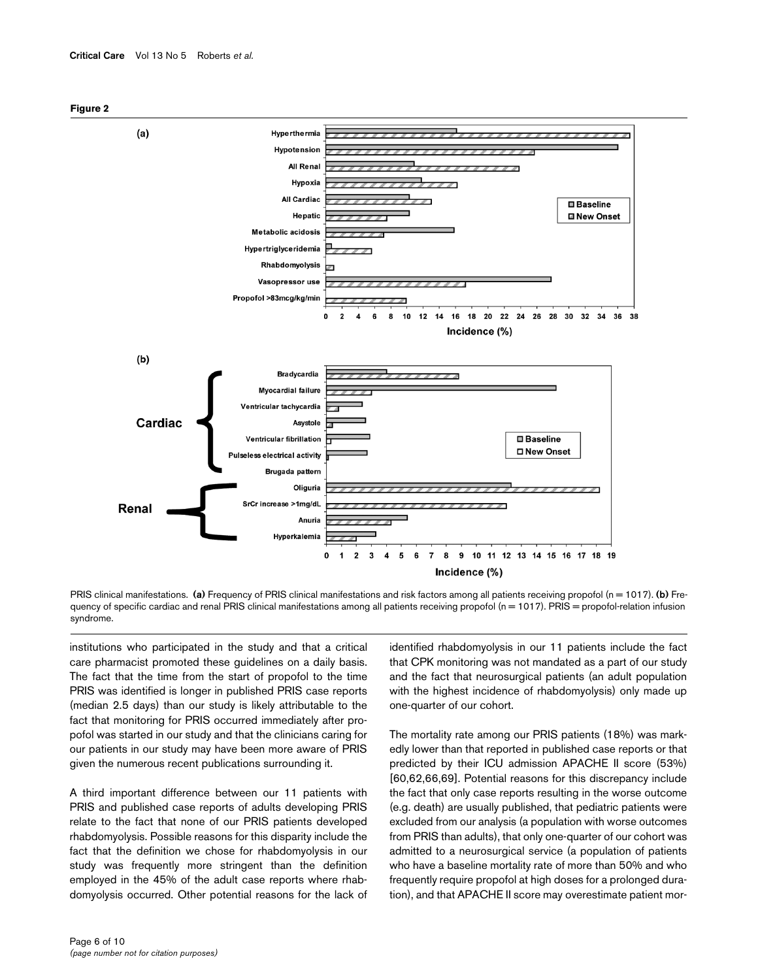



PRIS clinical manifestations. (a) Frequency of PRIS clinical manifestations and risk factors among all patients receiving propofol (n = 1017). (b) Frequency of specific cardiac and renal PRIS clinical manifestations among all patients receiving propofol (n = 1017). PRIS = propofol-relation infusion syndrome.

institutions who participated in the study and that a critical care pharmacist promoted these guidelines on a daily basis. The fact that the time from the start of propofol to the time PRIS was identified is longer in published PRIS case reports (median 2.5 days) than our study is likely attributable to the fact that monitoring for PRIS occurred immediately after propofol was started in our study and that the clinicians caring for our patients in our study may have been more aware of PRIS given the numerous recent publications surrounding it.

A third important difference between our 11 patients with PRIS and published case reports of adults developing PRIS relate to the fact that none of our PRIS patients developed rhabdomyolysis. Possible reasons for this disparity include the fact that the definition we chose for rhabdomyolysis in our study was frequently more stringent than the definition employed in the 45% of the adult case reports where rhabdomyolysis occurred. Other potential reasons for the lack of identified rhabdomyolysis in our 11 patients include the fact that CPK monitoring was not mandated as a part of our study and the fact that neurosurgical patients (an adult population with the highest incidence of rhabdomyolysis) only made up one-quarter of our cohort.

The mortality rate among our PRIS patients (18%) was markedly lower than that reported in published case reports or that predicted by their ICU admission APACHE II score (53%) [60,62,66,69]. Potential reasons for this discrepancy include the fact that only case reports resulting in the worse outcome (e.g. death) are usually published, that pediatric patients were excluded from our analysis (a population with worse outcomes from PRIS than adults), that only one-quarter of our cohort was admitted to a neurosurgical service (a population of patients who have a baseline mortality rate of more than 50% and who frequently require propofol at high doses for a prolonged duration), and that APACHE II score may overestimate patient mor-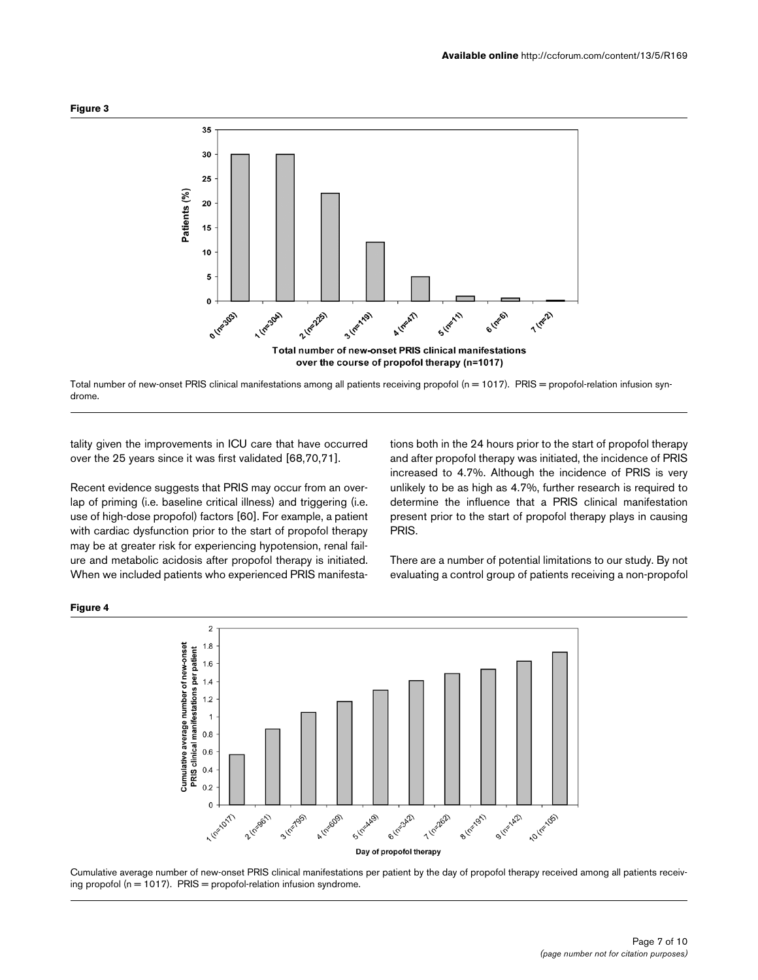

Total number of new-onset PRIS clinical manifestations among all patients receiving propofol (n = 1017). PRIS = propofol-relation infusion syndrome.

tality given the improvements in ICU care that have occurred over the 25 years since it was first validated [68,70,71].

Recent evidence suggests that PRIS may occur from an overlap of priming (i.e. baseline critical illness) and triggering (i.e. use of high-dose propofol) factors [60]. For example, a patient with cardiac dysfunction prior to the start of propofol therapy may be at greater risk for experiencing hypotension, renal failure and metabolic acidosis after propofol therapy is initiated. When we included patients who experienced PRIS manifestations both in the 24 hours prior to the start of propofol therapy and after propofol therapy was initiated, the incidence of PRIS increased to 4.7%. Although the incidence of PRIS is very unlikely to be as high as 4.7%, further research is required to determine the influence that a PRIS clinical manifestation present prior to the start of propofol therapy plays in causing PRIS.

There are a number of potential limitations to our study. By not evaluating a control group of patients receiving a non-propofol



Cumulative average number of new-onset PRIS clinical manifestations per patient by the day of propofol therapy received among all patients receiving propofol ( $n = 1017$ ). PRIS = propofol-relation infusion syndrome.

**Figure 4**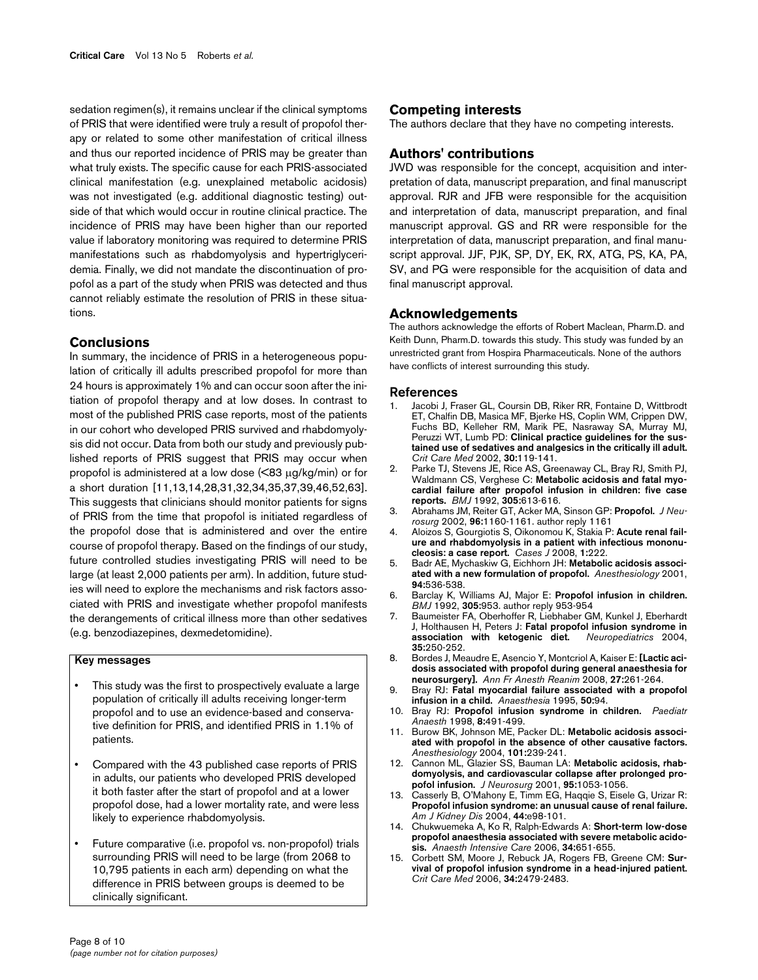sedation regimen(s), it remains unclear if the clinical symptoms of PRIS that were identified were truly a result of propofol therapy or related to some other manifestation of critical illness and thus our reported incidence of PRIS may be greater than what truly exists. The specific cause for each PRIS-associated clinical manifestation (e.g. unexplained metabolic acidosis) was not investigated (e.g. additional diagnostic testing) outside of that which would occur in routine clinical practice. The incidence of PRIS may have been higher than our reported value if laboratory monitoring was required to determine PRIS manifestations such as rhabdomyolysis and hypertriglyceridemia. Finally, we did not mandate the discontinuation of propofol as a part of the study when PRIS was detected and thus cannot reliably estimate the resolution of PRIS in these situations.

#### **Conclusions**

In summary, the incidence of PRIS in a heterogeneous population of critically ill adults prescribed propofol for more than 24 hours is approximately 1% and can occur soon after the initiation of propofol therapy and at low doses. In contrast to most of the published PRIS case reports, most of the patients in our cohort who developed PRIS survived and rhabdomyolysis did not occur. Data from both our study and previously published reports of PRIS suggest that PRIS may occur when propofol is administered at a low dose (<83 μg/kg/min) or for a short duration [11,13,14,28,31,32,34,35,37,39,46,52,63]. This suggests that clinicians should monitor patients for signs of PRIS from the time that propofol is initiated regardless of the propofol dose that is administered and over the entire course of propofol therapy. Based on the findings of our study, future controlled studies investigating PRIS will need to be large (at least 2,000 patients per arm). In addition, future studies will need to explore the mechanisms and risk factors associated with PRIS and investigate whether propofol manifests the derangements of critical illness more than other sedatives (e.g. benzodiazepines, dexmedetomidine).

### **Key messages**

- This study was the first to prospectively evaluate a large population of critically ill adults receiving longer-term propofol and to use an evidence-based and conservative definition for PRIS, and identified PRIS in 1.1% of patients.
- Compared with the 43 published case reports of PRIS in adults, our patients who developed PRIS developed it both faster after the start of propofol and at a lower propofol dose, had a lower mortality rate, and were less likely to experience rhabdomyolysis.
- Future comparative (i.e. propofol vs. non-propofol) trials surrounding PRIS will need to be large (from 2068 to 10,795 patients in each arm) depending on what the difference in PRIS between groups is deemed to be clinically significant.

#### **Competing interests**

The authors declare that they have no competing interests.

### **Authors' contributions**

JWD was responsible for the concept, acquisition and interpretation of data, manuscript preparation, and final manuscript approval. RJR and JFB were responsible for the acquisition and interpretation of data, manuscript preparation, and final manuscript approval. GS and RR were responsible for the interpretation of data, manuscript preparation, and final manuscript approval. JJF, PJK, SP, DY, EK, RX, ATG, PS, KA, PA, SV, and PG were responsible for the acquisition of data and final manuscript approval.

#### **Acknowledgements**

The authors acknowledge the efforts of Robert Maclean, Pharm.D. and Keith Dunn, Pharm.D. towards this study. This study was funded by an unrestricted grant from Hospira Pharmaceuticals. None of the authors have conflicts of interest surrounding this study.

#### **References**

- 1. Jacobi J, Fraser GL, Coursin DB, Riker RR, Fontaine D, Wittbrodt ET, Chalfin DB, Masica MF, Bjerke HS, Coplin WM, Crippen DW, Fuchs BD, Kelleher RM, Marik PE, Nasraway SA, Murray MJ, Peruzzi WT, Lumb PD: **[Clinical practice guidelines for the sus](http://www.ncbi.nlm.nih.gov/entrez/query.fcgi?cmd=Retrieve&db=PubMed&dopt=Abstract&list_uids=11902253)[tained use of sedatives and analgesics in the critically ill adult.](http://www.ncbi.nlm.nih.gov/entrez/query.fcgi?cmd=Retrieve&db=PubMed&dopt=Abstract&list_uids=11902253)** *Crit Care Med* 2002, **30:**119-141.
- 2. Parke TJ, Stevens JE, Rice AS, Greenaway CL, Bray RJ, Smith PJ, Waldmann CS, Verghese C: **[Metabolic acidosis and fatal myo](http://www.ncbi.nlm.nih.gov/entrez/query.fcgi?cmd=Retrieve&db=PubMed&dopt=Abstract&list_uids=1393073)[cardial failure after propofol infusion in children: five case](http://www.ncbi.nlm.nih.gov/entrez/query.fcgi?cmd=Retrieve&db=PubMed&dopt=Abstract&list_uids=1393073) [reports.](http://www.ncbi.nlm.nih.gov/entrez/query.fcgi?cmd=Retrieve&db=PubMed&dopt=Abstract&list_uids=1393073)** *BMJ* 1992, **305:**613-616.
- 3. Abrahams JM, Reiter GT, Acker MA, Sinson GP: **[Propofol.](http://www.ncbi.nlm.nih.gov/entrez/query.fcgi?cmd=Retrieve&db=PubMed&dopt=Abstract&list_uids=12066924)** *J Neurosurg* 2002, **96:**1160-1161. author reply 1161
- 4. Aloizos S, Gourgiotis S, Oikonomou K, Stakia P: **[Acute renal fail](http://www.ncbi.nlm.nih.gov/entrez/query.fcgi?cmd=Retrieve&db=PubMed&dopt=Abstract&list_uids=18840267)[ure and rhabdomyolysis in a patient with infectious mononu](http://www.ncbi.nlm.nih.gov/entrez/query.fcgi?cmd=Retrieve&db=PubMed&dopt=Abstract&list_uids=18840267)[cleosis: a case report.](http://www.ncbi.nlm.nih.gov/entrez/query.fcgi?cmd=Retrieve&db=PubMed&dopt=Abstract&list_uids=18840267)** *Cases J* 2008, **1:**222.
- 5. Badr AE, Mychaskiw G, Eichhorn JH: **[Metabolic acidosis associ](http://www.ncbi.nlm.nih.gov/entrez/query.fcgi?cmd=Retrieve&db=PubMed&dopt=Abstract&list_uids=11374620)[ated with a new formulation of propofol.](http://www.ncbi.nlm.nih.gov/entrez/query.fcgi?cmd=Retrieve&db=PubMed&dopt=Abstract&list_uids=11374620)** *Anesthesiology* 2001, **94:**536-538.
- 6. Barclay K, Williams AJ, Major E: **[Propofol infusion in children.](http://www.ncbi.nlm.nih.gov/entrez/query.fcgi?cmd=Retrieve&db=PubMed&dopt=Abstract&list_uids=1458087)** *BMJ* 1992, **305:**953. author reply 953-954
- 7. Baumeister FA, Oberhoffer R, Liebhaber GM, Kunkel J, Eberhardt J, Holthausen H, Peters J: **[Fatal propofol infusion syndrome in](http://www.ncbi.nlm.nih.gov/entrez/query.fcgi?cmd=Retrieve&db=PubMed&dopt=Abstract&list_uids=15328567) [association with ketogenic diet.](http://www.ncbi.nlm.nih.gov/entrez/query.fcgi?cmd=Retrieve&db=PubMed&dopt=Abstract&list_uids=15328567)** *Neuropediatrics* 2004, **35:**250-252.
- 8. Bordes J, Meaudre E, Asencio Y, Montcriol A, Kaiser E: **[\[Lactic aci](http://www.ncbi.nlm.nih.gov/entrez/query.fcgi?cmd=Retrieve&db=PubMed&dopt=Abstract&list_uids=18313882)[dosis associated with propofol during general anaesthesia for](http://www.ncbi.nlm.nih.gov/entrez/query.fcgi?cmd=Retrieve&db=PubMed&dopt=Abstract&list_uids=18313882) [neurosurgery\].](http://www.ncbi.nlm.nih.gov/entrez/query.fcgi?cmd=Retrieve&db=PubMed&dopt=Abstract&list_uids=18313882)** *Ann Fr Anesth Reanim* 2008, **27:**261-264.
- 9. Bray RJ: **[Fatal myocardial failure associated with a propofol](http://www.ncbi.nlm.nih.gov/entrez/query.fcgi?cmd=Retrieve&db=PubMed&dopt=Abstract&list_uids=7702174) [infusion in a child.](http://www.ncbi.nlm.nih.gov/entrez/query.fcgi?cmd=Retrieve&db=PubMed&dopt=Abstract&list_uids=7702174)** *Anaesthesia* 1995, **50:**94.
- 10. Bray RJ: **[Propofol infusion syndrome in children.](http://www.ncbi.nlm.nih.gov/entrez/query.fcgi?cmd=Retrieve&db=PubMed&dopt=Abstract&list_uids=9836214)** *Paediatr Anaesth* 1998, **8:**491-499.
- 11. Burow BK, Johnson ME, Packer DL: **[Metabolic acidosis associ](http://www.ncbi.nlm.nih.gov/entrez/query.fcgi?cmd=Retrieve&db=PubMed&dopt=Abstract&list_uids=15220796)[ated with propofol in the absence of other causative factors.](http://www.ncbi.nlm.nih.gov/entrez/query.fcgi?cmd=Retrieve&db=PubMed&dopt=Abstract&list_uids=15220796)** *Anesthesiology* 2004, **101:**239-241.
- 12. Cannon ML, Glazier SS, Bauman LA: **[Metabolic acidosis, rhab](http://www.ncbi.nlm.nih.gov/entrez/query.fcgi?cmd=Retrieve&db=PubMed&dopt=Abstract&list_uids=11765823)[domyolysis, and cardiovascular collapse after prolonged pro](http://www.ncbi.nlm.nih.gov/entrez/query.fcgi?cmd=Retrieve&db=PubMed&dopt=Abstract&list_uids=11765823)[pofol infusion.](http://www.ncbi.nlm.nih.gov/entrez/query.fcgi?cmd=Retrieve&db=PubMed&dopt=Abstract&list_uids=11765823)** *J Neurosurg* 2001, **95:**1053-1056.
- 13. Casserly B, O'Mahony E, Timm EG, Haqqie S, Eisele G, Urizar R: **[Propofol infusion syndrome: an unusual cause of renal failure.](http://www.ncbi.nlm.nih.gov/entrez/query.fcgi?cmd=Retrieve&db=PubMed&dopt=Abstract&list_uids=15558515)** *Am J Kidney Dis* 2004, **44:**e98-101.
- 14. Chukwuemeka A, Ko R, Ralph-Edwards A: **[Short-term low-dose](http://www.ncbi.nlm.nih.gov/entrez/query.fcgi?cmd=Retrieve&db=PubMed&dopt=Abstract&list_uids=17061643) [propofol anaesthesia associated with severe metabolic acido](http://www.ncbi.nlm.nih.gov/entrez/query.fcgi?cmd=Retrieve&db=PubMed&dopt=Abstract&list_uids=17061643)[sis.](http://www.ncbi.nlm.nih.gov/entrez/query.fcgi?cmd=Retrieve&db=PubMed&dopt=Abstract&list_uids=17061643)** *Anaesth Intensive Care* 2006, **34:**651-655.
- 15. Corbett SM, Moore J, Rebuck JA, Rogers FB, Greene CM: **[Sur](http://www.ncbi.nlm.nih.gov/entrez/query.fcgi?cmd=Retrieve&db=PubMed&dopt=Abstract&list_uids=16791112)[vival of propofol infusion syndrome in a head-injured patient.](http://www.ncbi.nlm.nih.gov/entrez/query.fcgi?cmd=Retrieve&db=PubMed&dopt=Abstract&list_uids=16791112)** *Crit Care Med* 2006, **34:**2479-2483.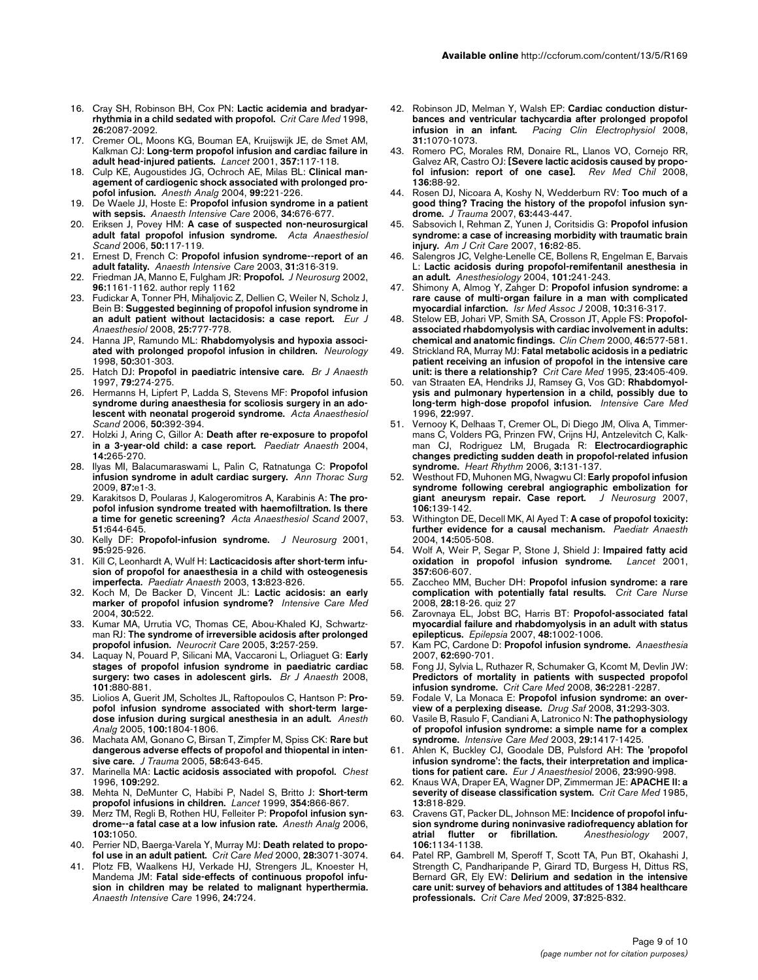- 16. Cray SH, Robinson BH, Cox PN: **[Lactic acidemia and bradyar](http://www.ncbi.nlm.nih.gov/entrez/query.fcgi?cmd=Retrieve&db=PubMed&dopt=Abstract&list_uids=9875925)[rhythmia in a child sedated with propofol.](http://www.ncbi.nlm.nih.gov/entrez/query.fcgi?cmd=Retrieve&db=PubMed&dopt=Abstract&list_uids=9875925)** *Crit Care Med* 1998, **26:**2087-2092.
- 17. Cremer OL, Moons KG, Bouman EA, Kruijswijk JE, de Smet AM, Kalkman CJ: **[Long-term propofol infusion and cardiac failure in](http://www.ncbi.nlm.nih.gov/entrez/query.fcgi?cmd=Retrieve&db=PubMed&dopt=Abstract&list_uids=11197401) [adult head-injured patients.](http://www.ncbi.nlm.nih.gov/entrez/query.fcgi?cmd=Retrieve&db=PubMed&dopt=Abstract&list_uids=11197401)** *Lancet* 2001, **357:**117-118.
- 18. Culp KE, Augoustides JG, Ochroch AE, Milas BL: **[Clinical man](http://www.ncbi.nlm.nih.gov/entrez/query.fcgi?cmd=Retrieve&db=PubMed&dopt=Abstract&list_uids=15281533)[agement of cardiogenic shock associated with prolonged pro](http://www.ncbi.nlm.nih.gov/entrez/query.fcgi?cmd=Retrieve&db=PubMed&dopt=Abstract&list_uids=15281533)[pofol infusion.](http://www.ncbi.nlm.nih.gov/entrez/query.fcgi?cmd=Retrieve&db=PubMed&dopt=Abstract&list_uids=15281533)** *Anesth Analg* 2004, **99:**221-226.
- 19. De Waele JJ, Hoste E: **[Propofol infusion syndrome in a patient](http://www.ncbi.nlm.nih.gov/entrez/query.fcgi?cmd=Retrieve&db=PubMed&dopt=Abstract&list_uids=17061649) [with sepsis.](http://www.ncbi.nlm.nih.gov/entrez/query.fcgi?cmd=Retrieve&db=PubMed&dopt=Abstract&list_uids=17061649)** *Anaesth Intensive Care* 2006, **34:**676-677.
- 20. Eriksen J, Povey HM: **[A case of suspected non-neurosurgical](http://www.ncbi.nlm.nih.gov/entrez/query.fcgi?cmd=Retrieve&db=PubMed&dopt=Abstract&list_uids=16451160) [adult fatal propofol infusion syndrome.](http://www.ncbi.nlm.nih.gov/entrez/query.fcgi?cmd=Retrieve&db=PubMed&dopt=Abstract&list_uids=16451160)** *Acta Anaesthesiol Scand* 2006, **50:**117-119.
- 21. Ernest D, French C: **[Propofol infusion syndrome--report of an](http://www.ncbi.nlm.nih.gov/entrez/query.fcgi?cmd=Retrieve&db=PubMed&dopt=Abstract&list_uids=12879680) [adult fatality.](http://www.ncbi.nlm.nih.gov/entrez/query.fcgi?cmd=Retrieve&db=PubMed&dopt=Abstract&list_uids=12879680)** *Anaesth Intensive Care* 2003, **31:**316-319.
- 22. Friedman JA, Manno E, Fulgham JR: **[Propofol.](http://www.ncbi.nlm.nih.gov/entrez/query.fcgi?cmd=Retrieve&db=PubMed&dopt=Abstract&list_uids=12066925)** *J Neurosurg* 2002, **96:**1161-1162. author reply 1162
- 23. Fudickar A, Tonner PH, Mihaljovic Z, Dellien C, Weiler N, Scholz J, Bein B: **[Suggested beginning of propofol infusion syndrome in](http://www.ncbi.nlm.nih.gov/entrez/query.fcgi?cmd=Retrieve&db=PubMed&dopt=Abstract&list_uids=18471330) [an adult patient without lactacidosis: a case report.](http://www.ncbi.nlm.nih.gov/entrez/query.fcgi?cmd=Retrieve&db=PubMed&dopt=Abstract&list_uids=18471330)** *Eur J Anaesthesiol* 2008, **25:**777-778.
- 24. Hanna JP, Ramundo ML: **[Rhabdomyolysis and hypoxia associ](http://www.ncbi.nlm.nih.gov/entrez/query.fcgi?cmd=Retrieve&db=PubMed&dopt=Abstract&list_uids=9443502)[ated with prolonged propofol infusion in children.](http://www.ncbi.nlm.nih.gov/entrez/query.fcgi?cmd=Retrieve&db=PubMed&dopt=Abstract&list_uids=9443502)** *Neurology* 1998, **50:**301-303.
- 25. Hatch DJ: **[Propofol in paediatric intensive care.](http://www.ncbi.nlm.nih.gov/entrez/query.fcgi?cmd=Retrieve&db=PubMed&dopt=Abstract&list_uids=9389838)** *Br J Anaesth* 1997, **79:**274-275.
- 26. Hermanns H, Lipfert P, Ladda S, Stevens MF: **[Propofol infusion](http://www.ncbi.nlm.nih.gov/entrez/query.fcgi?cmd=Retrieve&db=PubMed&dopt=Abstract&list_uids=16480483) [syndrome during anaesthesia for scoliosis surgery in an ado](http://www.ncbi.nlm.nih.gov/entrez/query.fcgi?cmd=Retrieve&db=PubMed&dopt=Abstract&list_uids=16480483)[lescent with neonatal progeroid syndrome.](http://www.ncbi.nlm.nih.gov/entrez/query.fcgi?cmd=Retrieve&db=PubMed&dopt=Abstract&list_uids=16480483)** *Acta Anaesthesiol Scand* 2006, **50:**392-394.
- 27. Holzki J, Aring C, Gillor A: **[Death after re-exposure to propofol](http://www.ncbi.nlm.nih.gov/entrez/query.fcgi?cmd=Retrieve&db=PubMed&dopt=Abstract&list_uids=14996268) [in a 3-year-old child: a case report.](http://www.ncbi.nlm.nih.gov/entrez/query.fcgi?cmd=Retrieve&db=PubMed&dopt=Abstract&list_uids=14996268)** *Paediatr Anaesth* 2004, **14:**265-270.
- 28. Ilyas MI, Balacumaraswami L, Palin C, Ratnatunga C: **[Propofol](http://www.ncbi.nlm.nih.gov/entrez/query.fcgi?cmd=Retrieve&db=PubMed&dopt=Abstract&list_uids=19101256) [infusion syndrome in adult cardiac surgery.](http://www.ncbi.nlm.nih.gov/entrez/query.fcgi?cmd=Retrieve&db=PubMed&dopt=Abstract&list_uids=19101256)** *Ann Thorac Surg* 2009, **87:**e1-3.
- 29. Karakitsos D, Poularas J, Kalogeromitros A, Karabinis A: **[The pro](http://www.ncbi.nlm.nih.gov/entrez/query.fcgi?cmd=Retrieve&db=PubMed&dopt=Abstract&list_uids=17430332)[pofol infusion syndrome treated with haemofiltration. Is there](http://www.ncbi.nlm.nih.gov/entrez/query.fcgi?cmd=Retrieve&db=PubMed&dopt=Abstract&list_uids=17430332) [a time for genetic screening?](http://www.ncbi.nlm.nih.gov/entrez/query.fcgi?cmd=Retrieve&db=PubMed&dopt=Abstract&list_uids=17430332)** *Acta Anaesthesiol Scand* 2007, **51:**644-645.
- 30. Kelly DF: **[Propofol-infusion syndrome.](http://www.ncbi.nlm.nih.gov/entrez/query.fcgi?cmd=Retrieve&db=PubMed&dopt=Abstract&list_uids=11765835)** *J Neurosurg* 2001, **95:**925-926.
- 31. Kill C, Leonhardt A, Wulf H: **[Lacticacidosis after short-term infu](http://www.ncbi.nlm.nih.gov/entrez/query.fcgi?cmd=Retrieve&db=PubMed&dopt=Abstract&list_uids=14617125)[sion of propofol for anaesthesia in a child with osteogenesis](http://www.ncbi.nlm.nih.gov/entrez/query.fcgi?cmd=Retrieve&db=PubMed&dopt=Abstract&list_uids=14617125) [imperfecta.](http://www.ncbi.nlm.nih.gov/entrez/query.fcgi?cmd=Retrieve&db=PubMed&dopt=Abstract&list_uids=14617125)** *Paediatr Anaesth* 2003, **13:**823-826.
- 32. Koch M, De Backer D, Vincent JL: **[Lactic acidosis: an early](http://www.ncbi.nlm.nih.gov/entrez/query.fcgi?cmd=Retrieve&db=PubMed&dopt=Abstract&list_uids=14685664) [marker of propofol infusion syndrome?](http://www.ncbi.nlm.nih.gov/entrez/query.fcgi?cmd=Retrieve&db=PubMed&dopt=Abstract&list_uids=14685664)** *Intensive Care Med* 2004, **30:**522.
- 33. Kumar MA, Urrutia VC, Thomas CE, Abou-Khaled KJ, Schwartzman RJ: **[The syndrome of irreversible acidosis after prolonged](http://www.ncbi.nlm.nih.gov/entrez/query.fcgi?cmd=Retrieve&db=PubMed&dopt=Abstract&list_uids=16377841) [propofol infusion.](http://www.ncbi.nlm.nih.gov/entrez/query.fcgi?cmd=Retrieve&db=PubMed&dopt=Abstract&list_uids=16377841)** *Neurocrit Care* 2005, **3:**257-259.
- 34. Laquay N, Pouard P, Silicani MA, Vaccaroni L, Orliaguet G: **[Early](http://www.ncbi.nlm.nih.gov/entrez/query.fcgi?cmd=Retrieve&db=PubMed&dopt=Abstract&list_uids=19004919) [stages of propofol infusion syndrome in paediatric cardiac](http://www.ncbi.nlm.nih.gov/entrez/query.fcgi?cmd=Retrieve&db=PubMed&dopt=Abstract&list_uids=19004919) [surgery: two cases in adolescent girls.](http://www.ncbi.nlm.nih.gov/entrez/query.fcgi?cmd=Retrieve&db=PubMed&dopt=Abstract&list_uids=19004919)** *Br J Anaesth* 2008, **101:**880-881.
- 35. Liolios A, Guerit JM, Scholtes JL, Raftopoulos C, Hantson P: **[Pro](http://www.ncbi.nlm.nih.gov/entrez/query.fcgi?cmd=Retrieve&db=PubMed&dopt=Abstract&list_uids=15920217)[pofol infusion syndrome associated with short-term large](http://www.ncbi.nlm.nih.gov/entrez/query.fcgi?cmd=Retrieve&db=PubMed&dopt=Abstract&list_uids=15920217)[dose infusion during surgical anesthesia in an adult.](http://www.ncbi.nlm.nih.gov/entrez/query.fcgi?cmd=Retrieve&db=PubMed&dopt=Abstract&list_uids=15920217)** *Anesth Analg* 2005, **100:**1804-1806.
- 36. Machata AM, Gonano C, Birsan T, Zimpfer M, Spiss CK: **[Rare but](http://www.ncbi.nlm.nih.gov/entrez/query.fcgi?cmd=Retrieve&db=PubMed&dopt=Abstract&list_uids=15761368) [dangerous adverse effects of propofol and thiopental in inten](http://www.ncbi.nlm.nih.gov/entrez/query.fcgi?cmd=Retrieve&db=PubMed&dopt=Abstract&list_uids=15761368)[sive care.](http://www.ncbi.nlm.nih.gov/entrez/query.fcgi?cmd=Retrieve&db=PubMed&dopt=Abstract&list_uids=15761368)** *J Trauma* 2005, **58:**643-645.
- 37. Marinella MA: **[Lactic acidosis associated with propofol.](http://www.ncbi.nlm.nih.gov/entrez/query.fcgi?cmd=Retrieve&db=PubMed&dopt=Abstract&list_uids=8549205)** *Chest* 1996, **109:**292.
- 38. Mehta N, DeMunter C, Habibi P, Nadel S, Britto J: **[Short-term](http://www.ncbi.nlm.nih.gov/entrez/query.fcgi?cmd=Retrieve&db=PubMed&dopt=Abstract&list_uids=10485752) [propofol infusions in children.](http://www.ncbi.nlm.nih.gov/entrez/query.fcgi?cmd=Retrieve&db=PubMed&dopt=Abstract&list_uids=10485752)** *Lancet* 1999, **354:**866-867.
- 39. Merz TM, Regli B, Rothen HU, Felleiter P: **[Propofol infusion syn](http://www.ncbi.nlm.nih.gov/entrez/query.fcgi?cmd=Retrieve&db=PubMed&dopt=Abstract&list_uids=17000843)[drome--a fatal case at a low infusion rate.](http://www.ncbi.nlm.nih.gov/entrez/query.fcgi?cmd=Retrieve&db=PubMed&dopt=Abstract&list_uids=17000843)** *Anesth Analg* 2006, **103:**1050.
- 40. Perrier ND, Baerga-Varela Y, Murray MJ: **[Death related to propo](http://www.ncbi.nlm.nih.gov/entrez/query.fcgi?cmd=Retrieve&db=PubMed&dopt=Abstract&list_uids=10966298)[fol use in an adult patient.](http://www.ncbi.nlm.nih.gov/entrez/query.fcgi?cmd=Retrieve&db=PubMed&dopt=Abstract&list_uids=10966298)** *Crit Care Med* 2000, **28:**3071-3074.
- 41. Plotz FB, Waalkens HJ, Verkade HJ, Strengers JL, Knoester H, Mandema JM: **[Fatal side-effects of continuous propofol infu](http://www.ncbi.nlm.nih.gov/entrez/query.fcgi?cmd=Retrieve&db=PubMed&dopt=Abstract&list_uids=8971326)[sion in children may be related to malignant hyperthermia.](http://www.ncbi.nlm.nih.gov/entrez/query.fcgi?cmd=Retrieve&db=PubMed&dopt=Abstract&list_uids=8971326)** *Anaesth Intensive Care* 1996, **24:**724.
- 42. Robinson JD, Melman Y, Walsh EP: **[Cardiac conduction distur](http://www.ncbi.nlm.nih.gov/entrez/query.fcgi?cmd=Retrieve&db=PubMed&dopt=Abstract&list_uids=18684267)[bances and ventricular tachycardia after prolonged propofol](http://www.ncbi.nlm.nih.gov/entrez/query.fcgi?cmd=Retrieve&db=PubMed&dopt=Abstract&list_uids=18684267) [infusion in an infant.](http://www.ncbi.nlm.nih.gov/entrez/query.fcgi?cmd=Retrieve&db=PubMed&dopt=Abstract&list_uids=18684267)** *Pacing Clin Electrophysiol* 2008, **31:**1070-1073.
- 43. Romero PC, Morales RM, Donaire RL, Llanos VO, Cornejo RR, Galvez AR, Castro OJ: **[\[Severe lactic acidosis caused by propo](http://www.ncbi.nlm.nih.gov/entrez/query.fcgi?cmd=Retrieve&db=PubMed&dopt=Abstract&list_uids=18483658)[fol infusion: report of one case\].](http://www.ncbi.nlm.nih.gov/entrez/query.fcgi?cmd=Retrieve&db=PubMed&dopt=Abstract&list_uids=18483658)** *Rev Med Chil* 2008, **136:**88-92.
- 44. Rosen DJ, Nicoara A, Koshy N, Wedderburn RV: **[Too much of a](http://www.ncbi.nlm.nih.gov/entrez/query.fcgi?cmd=Retrieve&db=PubMed&dopt=Abstract&list_uids=17693849) [good thing? Tracing the history of the propofol infusion syn](http://www.ncbi.nlm.nih.gov/entrez/query.fcgi?cmd=Retrieve&db=PubMed&dopt=Abstract&list_uids=17693849)[drome.](http://www.ncbi.nlm.nih.gov/entrez/query.fcgi?cmd=Retrieve&db=PubMed&dopt=Abstract&list_uids=17693849)** *J Trauma* 2007, **63:**443-447.
- 45. Sabsovich I, Rehman Z, Yunen J, Coritsidis G: **[Propofol infusion](http://www.ncbi.nlm.nih.gov/entrez/query.fcgi?cmd=Retrieve&db=PubMed&dopt=Abstract&list_uids=17192529) [syndrome: a case of increasing morbidity with traumatic brain](http://www.ncbi.nlm.nih.gov/entrez/query.fcgi?cmd=Retrieve&db=PubMed&dopt=Abstract&list_uids=17192529) [injury.](http://www.ncbi.nlm.nih.gov/entrez/query.fcgi?cmd=Retrieve&db=PubMed&dopt=Abstract&list_uids=17192529)** *Am J Crit Care* 2007, **16:**82-85.
- Salengros JC, Velghe-Lenelle CE, Bollens R, Engelman E, Barvais L: **[Lactic acidosis during propofol-remifentanil anesthesia in](http://www.ncbi.nlm.nih.gov/entrez/query.fcgi?cmd=Retrieve&db=PubMed&dopt=Abstract&list_uids=15220797) [an adult.](http://www.ncbi.nlm.nih.gov/entrez/query.fcgi?cmd=Retrieve&db=PubMed&dopt=Abstract&list_uids=15220797)** *Anesthesiology* 2004, **101:**241-243.
- 47. Shimony A, Almog Y, Zahger D: **[Propofol infusion syndrome: a](http://www.ncbi.nlm.nih.gov/entrez/query.fcgi?cmd=Retrieve&db=PubMed&dopt=Abstract&list_uids=18548992) [rare cause of multi-organ failure in a man with complicated](http://www.ncbi.nlm.nih.gov/entrez/query.fcgi?cmd=Retrieve&db=PubMed&dopt=Abstract&list_uids=18548992) [myocardial infarction.](http://www.ncbi.nlm.nih.gov/entrez/query.fcgi?cmd=Retrieve&db=PubMed&dopt=Abstract&list_uids=18548992)** *Isr Med Assoc J* 2008, **10:**316-317.
- 48. Stelow EB, Johari VP, Smith SA, Crosson JT, Apple FS: **[Propofol](http://www.ncbi.nlm.nih.gov/entrez/query.fcgi?cmd=Retrieve&db=PubMed&dopt=Abstract&list_uids=10759487)[associated rhabdomyolysis with cardiac involvement in adults:](http://www.ncbi.nlm.nih.gov/entrez/query.fcgi?cmd=Retrieve&db=PubMed&dopt=Abstract&list_uids=10759487) [chemical and anatomic findings.](http://www.ncbi.nlm.nih.gov/entrez/query.fcgi?cmd=Retrieve&db=PubMed&dopt=Abstract&list_uids=10759487)** *Clin Chem* 2000, **46:**577-581.
- 49. Strickland RA, Murray MJ: **[Fatal metabolic acidosis in a pediatric](http://www.ncbi.nlm.nih.gov/entrez/query.fcgi?cmd=Retrieve&db=PubMed&dopt=Abstract&list_uids=7867366) [patient receiving an infusion of propofol in the intensive care](http://www.ncbi.nlm.nih.gov/entrez/query.fcgi?cmd=Retrieve&db=PubMed&dopt=Abstract&list_uids=7867366) [unit: is there a relationship?](http://www.ncbi.nlm.nih.gov/entrez/query.fcgi?cmd=Retrieve&db=PubMed&dopt=Abstract&list_uids=7867366)** *Crit Care Med* 1995, **23:**405-409.
- 50. van Straaten EA, Hendriks JJ, Ramsey G, Vos GD: **[Rhabdomyol](http://www.ncbi.nlm.nih.gov/entrez/query.fcgi?cmd=Retrieve&db=PubMed&dopt=Abstract&list_uids=8905442)[ysis and pulmonary hypertension in a child, possibly due to](http://www.ncbi.nlm.nih.gov/entrez/query.fcgi?cmd=Retrieve&db=PubMed&dopt=Abstract&list_uids=8905442) [long-term high-dose propofol infusion.](http://www.ncbi.nlm.nih.gov/entrez/query.fcgi?cmd=Retrieve&db=PubMed&dopt=Abstract&list_uids=8905442)** *Intensive Care Med* 1996, **22:**997.
- 51. Vernooy K, Delhaas T, Cremer OL, Di Diego JM, Oliva A, Timmermans C, Volders PG, Prinzen FW, Crijns HJ, Antzelevitch C, Kalkman CJ, Rodriguez LM, Brugada R: **[Electrocardiographic](http://www.ncbi.nlm.nih.gov/entrez/query.fcgi?cmd=Retrieve&db=PubMed&dopt=Abstract&list_uids=16443524) [changes predicting sudden death in propofol-related infusion](http://www.ncbi.nlm.nih.gov/entrez/query.fcgi?cmd=Retrieve&db=PubMed&dopt=Abstract&list_uids=16443524) [syndrome.](http://www.ncbi.nlm.nih.gov/entrez/query.fcgi?cmd=Retrieve&db=PubMed&dopt=Abstract&list_uids=16443524)** *Heart Rhythm* 2006, **3:**131-137.
- 52. Westhout FD, Muhonen MG, Nwagwu CI: **[Early propofol infusion](http://www.ncbi.nlm.nih.gov/entrez/query.fcgi?cmd=Retrieve&db=PubMed&dopt=Abstract&list_uids=17330542) [syndrome following cerebral angiographic embolization for](http://www.ncbi.nlm.nih.gov/entrez/query.fcgi?cmd=Retrieve&db=PubMed&dopt=Abstract&list_uids=17330542) [giant aneurysm repair. Case report.](http://www.ncbi.nlm.nih.gov/entrez/query.fcgi?cmd=Retrieve&db=PubMed&dopt=Abstract&list_uids=17330542)** *J Neurosurg* 2007, **106:**139-142.
- 53. Withington DE, Decell MK, Al Ayed T: **[A case of propofol toxicity:](http://www.ncbi.nlm.nih.gov/entrez/query.fcgi?cmd=Retrieve&db=PubMed&dopt=Abstract&list_uids=15153216) [further evidence for a causal mechanism.](http://www.ncbi.nlm.nih.gov/entrez/query.fcgi?cmd=Retrieve&db=PubMed&dopt=Abstract&list_uids=15153216)** *Paediatr Anaesth* 2004, **14:**505-508.
- 54. Wolf A, Weir P, Segar P, Stone J, Shield J: **[Impaired fatty acid](http://www.ncbi.nlm.nih.gov/entrez/query.fcgi?cmd=Retrieve&db=PubMed&dopt=Abstract&list_uids=11558490) [oxidation in propofol infusion syndrome.](http://www.ncbi.nlm.nih.gov/entrez/query.fcgi?cmd=Retrieve&db=PubMed&dopt=Abstract&list_uids=11558490)** *Lancet* 2001, **357:**606-607.
- 55. Zaccheo MM, Bucher DH: **[Propofol infusion syndrome: a rare](http://www.ncbi.nlm.nih.gov/entrez/query.fcgi?cmd=Retrieve&db=PubMed&dopt=Abstract&list_uids=18515605) [complication with potentially fatal results.](http://www.ncbi.nlm.nih.gov/entrez/query.fcgi?cmd=Retrieve&db=PubMed&dopt=Abstract&list_uids=18515605)** *Crit Care Nurse* 2008, **28:**18-26. quiz 27
- 56. Zarovnaya EL, Jobst BC, Harris BT: **[Propofol-associated fatal](http://www.ncbi.nlm.nih.gov/entrez/query.fcgi?cmd=Retrieve&db=PubMed&dopt=Abstract&list_uids=17381434) [myocardial failure and rhabdomyolysis in an adult with status](http://www.ncbi.nlm.nih.gov/entrez/query.fcgi?cmd=Retrieve&db=PubMed&dopt=Abstract&list_uids=17381434) [epilepticus.](http://www.ncbi.nlm.nih.gov/entrez/query.fcgi?cmd=Retrieve&db=PubMed&dopt=Abstract&list_uids=17381434)** *Epilepsia* 2007, **48:**1002-1006.
- 57. Kam PC, Cardone D: **[Propofol infusion syndrome.](http://www.ncbi.nlm.nih.gov/entrez/query.fcgi?cmd=Retrieve&db=PubMed&dopt=Abstract&list_uids=17567345)** *Anaesthesia* 2007, **62:**690-701.
- 58. Fong JJ, Sylvia L, Ruthazer R, Schumaker G, Kcomt M, Devlin JW: **[Predictors of mortality in patients with suspected propofol](http://www.ncbi.nlm.nih.gov/entrez/query.fcgi?cmd=Retrieve&db=PubMed&dopt=Abstract&list_uids=18664783) [infusion syndrome.](http://www.ncbi.nlm.nih.gov/entrez/query.fcgi?cmd=Retrieve&db=PubMed&dopt=Abstract&list_uids=18664783)** *Crit Care Med* 2008, **36:**2281-2287.
- Fodale V, La Monaca E: [Propofol infusion syndrome: an over](http://www.ncbi.nlm.nih.gov/entrez/query.fcgi?cmd=Retrieve&db=PubMed&dopt=Abstract&list_uids=18366240)**[view of a perplexing disease.](http://www.ncbi.nlm.nih.gov/entrez/query.fcgi?cmd=Retrieve&db=PubMed&dopt=Abstract&list_uids=18366240)** *Drug Saf* 2008, **31:**293-303.
- 60. Vasile B, Rasulo F, Candiani A, Latronico N: **[The pathophysiology](http://www.ncbi.nlm.nih.gov/entrez/query.fcgi?cmd=Retrieve&db=PubMed&dopt=Abstract&list_uids=12904852) [of propofol infusion syndrome: a simple name for a complex](http://www.ncbi.nlm.nih.gov/entrez/query.fcgi?cmd=Retrieve&db=PubMed&dopt=Abstract&list_uids=12904852) [syndrome.](http://www.ncbi.nlm.nih.gov/entrez/query.fcgi?cmd=Retrieve&db=PubMed&dopt=Abstract&list_uids=12904852)** *Intensive Care Med* 2003, **29:**1417-1425.
- 61. Ahlen K, Buckley CJ, Goodale DB, Pulsford AH: **[The 'propofol](http://www.ncbi.nlm.nih.gov/entrez/query.fcgi?cmd=Retrieve&db=PubMed&dopt=Abstract&list_uids=16938158) [infusion syndrome': the facts, their interpretation and implica](http://www.ncbi.nlm.nih.gov/entrez/query.fcgi?cmd=Retrieve&db=PubMed&dopt=Abstract&list_uids=16938158)[tions for patient care.](http://www.ncbi.nlm.nih.gov/entrez/query.fcgi?cmd=Retrieve&db=PubMed&dopt=Abstract&list_uids=16938158)** *Eur J Anaesthesiol* 2006, **23:**990-998.
- 62. Knaus WA, Draper EA, Wagner DP, Zimmerman JE: **[APACHE II: a](http://www.ncbi.nlm.nih.gov/entrez/query.fcgi?cmd=Retrieve&db=PubMed&dopt=Abstract&list_uids=3928249) [severity of disease classification system.](http://www.ncbi.nlm.nih.gov/entrez/query.fcgi?cmd=Retrieve&db=PubMed&dopt=Abstract&list_uids=3928249)** *Crit Care Med* 1985, **13:**818-829.
- 63. Cravens GT, Packer DL, Johnson ME: **[Incidence of propofol infu](http://www.ncbi.nlm.nih.gov/entrez/query.fcgi?cmd=Retrieve&db=PubMed&dopt=Abstract&list_uids=17525588)[sion syndrome during noninvasive radiofrequency ablation for](http://www.ncbi.nlm.nih.gov/entrez/query.fcgi?cmd=Retrieve&db=PubMed&dopt=Abstract&list_uids=17525588) [atrial flutter or fibrillation.](http://www.ncbi.nlm.nih.gov/entrez/query.fcgi?cmd=Retrieve&db=PubMed&dopt=Abstract&list_uids=17525588)** *Anesthesiology* 2007, **106:**1134-1138.
- 64. Patel RP, Gambrell M, Speroff T, Scott TA, Pun BT, Okahashi J, Strength C, Pandharipande P, Girard TD, Burgess H, Dittus RS, Bernard GR, Ely EW: **[Delirium and sedation in the intensive](http://www.ncbi.nlm.nih.gov/entrez/query.fcgi?cmd=Retrieve&db=PubMed&dopt=Abstract&list_uids=19237884) [care unit: survey of behaviors and attitudes of 1384 healthcare](http://www.ncbi.nlm.nih.gov/entrez/query.fcgi?cmd=Retrieve&db=PubMed&dopt=Abstract&list_uids=19237884) [professionals.](http://www.ncbi.nlm.nih.gov/entrez/query.fcgi?cmd=Retrieve&db=PubMed&dopt=Abstract&list_uids=19237884)** *Crit Care Med* 2009, **37:**825-832.